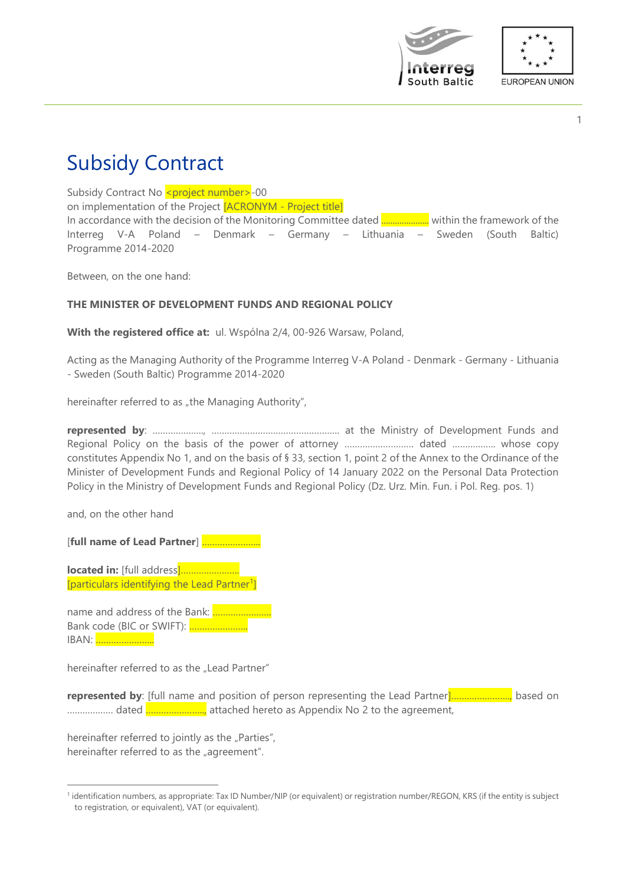



# Subsidy Contract

Subsidy Contract No <project number>-00

on implementation of the Project [ACRONYM - Project title]

In accordance with the decision of the Monitoring Committee dated ..................... within the framework of the Interreg V-A Poland – Denmark – Germany – Lithuania – Sweden (South Baltic) Programme 2014-2020

Between, on the one hand:

# **THE MINISTER OF DEVELOPMENT FUNDS AND REGIONAL POLICY**

**With the registered office at:** ul. Wspólna 2/4, 00-926 Warsaw, Poland,

Acting as the Managing Authority of the Programme Interreg V-A Poland - Denmark - Germany - Lithuania - Sweden (South Baltic) Programme 2014-2020

hereinafter referred to as "the Managing Authority",

**represented by**: ……………….., ………………………………………….. at the Ministry of Development Funds and Regional Policy on the basis of the power of attorney ……………………… dated …………….. whose copy constitutes Appendix No 1, and on the basis of § 33, section 1, point 2 of the Annex to the Ordinance of the Minister of Development Funds and Regional Policy of 14 January 2022 on the Personal Data Protection Policy in the Ministry of Development Funds and Regional Policy (Dz. Urz. Min. Fun. i Pol. Reg. pos. 1)

and, on the other hand

[**full name of Lead Partner**] …………………..

**located in:** [full address]………………….. [particulars identifying the Lead Partner<sup>1</sup>]

name and address of the Bank: ………………….. Bank code (BIC or SWIFT): ………………….. IBAN: …………………..

hereinafter referred to as the "Lead Partner"

**represented by**: [full name and position of person representing the Lead Partner]………………….., based on ................... dated **.......................** attached hereto as Appendix No 2 to the agreement,

hereinafter referred to jointly as the "Parties", hereinafter referred to as the "agreement".

<sup>&</sup>lt;sup>1</sup> identification numbers, as appropriate: Tax ID Number/NIP (or equivalent) or registration number/REGON, KRS (if the entity is subject to registration, or equivalent), VAT (or equivalent).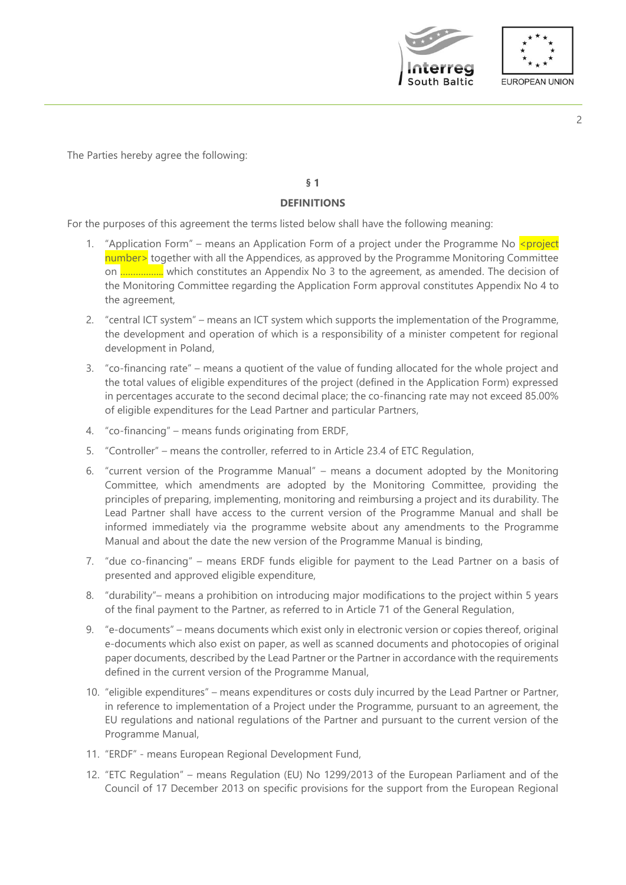



The Parties hereby agree the following:

# **§ 1**

# **DEFINITIONS**

For the purposes of this agreement the terms listed below shall have the following meaning:

- 1. "Application Form" means an Application Form of a project under the Programme No  $\epsilon$ project number> together with all the Appendices, as approved by the Programme Monitoring Committee on …………….. which constitutes an Appendix No 3 to the agreement, as amended. The decision of the Monitoring Committee regarding the Application Form approval constitutes Appendix No 4 to the agreement,
- 2. "central ICT system" means an ICT system which supports the implementation of the Programme, the development and operation of which is a responsibility of a minister competent for regional development in Poland,
- 3. "co-financing rate" means a quotient of the value of funding allocated for the whole project and the total values of eligible expenditures of the project (defined in the Application Form) expressed in percentages accurate to the second decimal place; the co-financing rate may not exceed 85.00% of eligible expenditures for the Lead Partner and particular Partners,
- 4. "co-financing" means funds originating from ERDF,
- 5. "Controller" means the controller, referred to in Article 23.4 of ETC Regulation,
- 6. "current version of the Programme Manual" means a document adopted by the Monitoring Committee, which amendments are adopted by the Monitoring Committee, providing the principles of preparing, implementing, monitoring and reimbursing a project and its durability. The Lead Partner shall have access to the current version of the Programme Manual and shall be informed immediately via the programme website about any amendments to the Programme Manual and about the date the new version of the Programme Manual is binding,
- 7. "due co-financing" means ERDF funds eligible for payment to the Lead Partner on a basis of presented and approved eligible expenditure,
- 8. "durability"– means a prohibition on introducing major modifications to the project within 5 years of the final payment to the Partner, as referred to in Article 71 of the General Regulation,
- 9. "e-documents" means documents which exist only in electronic version or copies thereof, original e-documents which also exist on paper, as well as scanned documents and photocopies of original paper documents, described by the Lead Partner or the Partner in accordance with the requirements defined in the current version of the Programme Manual,
- 10. "eligible expenditures" means expenditures or costs duly incurred by the Lead Partner or Partner, in reference to implementation of a Project under the Programme, pursuant to an agreement, the EU regulations and national regulations of the Partner and pursuant to the current version of the Programme Manual,
- 11. "ERDF" means European Regional Development Fund,
- 12. "ETC Regulation" means Regulation (EU) No 1299/2013 of the European Parliament and of the Council of 17 December 2013 on specific provisions for the support from the European Regional

2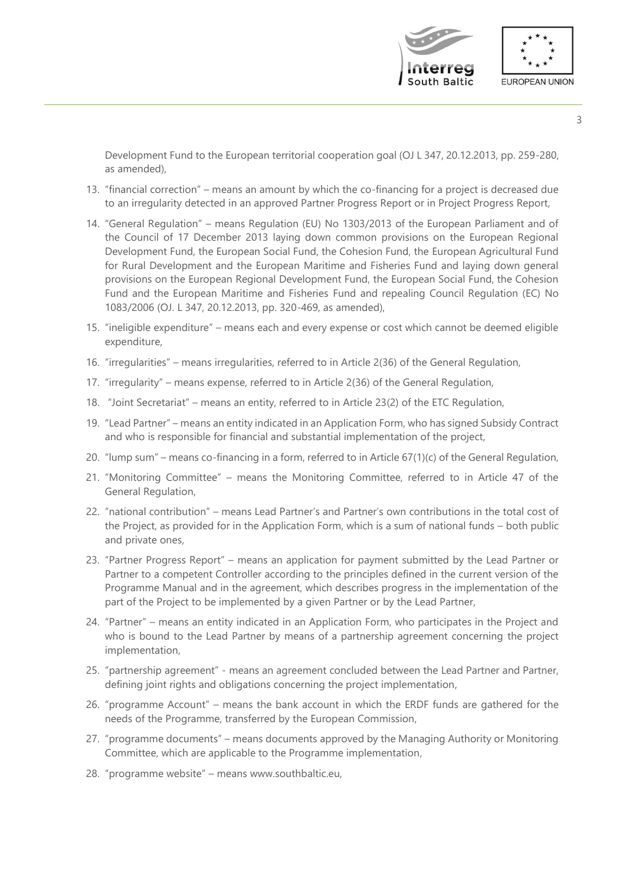

Development Fund to the European territorial cooperation goal (OJ L 347, 20.12.2013, pp. 259-280, as amended),

- 13. "financial correction" means an amount by which the co-financing for a project is decreased due to an irregularity detected in an approved Partner Progress Report or in Project Progress Report,
- 14. "General Regulation" means Regulation (EU) No 1303/2013 of the European Parliament and of the Council of 17 December 2013 laying down common provisions on the European Regional Development Fund, the European Social Fund, the Cohesion Fund, the European Agricultural Fund for Rural Development and the European Maritime and Fisheries Fund and laying down general provisions on the European Regional Development Fund, the European Social Fund, the Cohesion Fund and the European Maritime and Fisheries Fund and repealing Council Regulation (EC) No 1083/2006 (OJ. L 347, 20.12.2013, pp. 320-469, as amended),
- 15. "ineligible expenditure" means each and every expense or cost which cannot be deemed eligible expenditure,
- 16. "irregularities" means irregularities, referred to in Article 2(36) of the General Regulation,
- 17. "irregularity" means expense, referred to in Article 2(36) of the General Regulation,
- 18. "Joint Secretariat" means an entity, referred to in Article 23(2) of the ETC Regulation,
- 19. "Lead Partner" means an entity indicated in an Application Form, who has signed Subsidy Contract and who is responsible for financial and substantial implementation of the project,
- 20. "lump sum" means co-financing in a form, referred to in Article 67(1)(c) of the General Regulation,
- 21. "Monitoring Committee" means the Monitoring Committee, referred to in Article 47 of the General Regulation,
- 22. "national contribution" means Lead Partner's and Partner's own contributions in the total cost of the Project, as provided for in the Application Form, which is a sum of national funds – both public and private ones,
- 23. "Partner Progress Report" means an application for payment submitted by the Lead Partner or Partner to a competent Controller according to the principles defined in the current version of the Programme Manual and in the agreement, which describes progress in the implementation of the part of the Project to be implemented by a given Partner or by the Lead Partner,
- 24. "Partner" means an entity indicated in an Application Form, who participates in the Project and who is bound to the Lead Partner by means of a partnership agreement concerning the project implementation,
- 25. "partnership agreement" means an agreement concluded between the Lead Partner and Partner, defining joint rights and obligations concerning the project implementation,
- 26. "programme Account" means the bank account in which the ERDF funds are gathered for the needs of the Programme, transferred by the European Commission,
- 27. "programme documents" means documents approved by the Managing Authority or Monitoring Committee, which are applicable to the Programme implementation,
- 28. "programme website" means www.southbaltic.eu,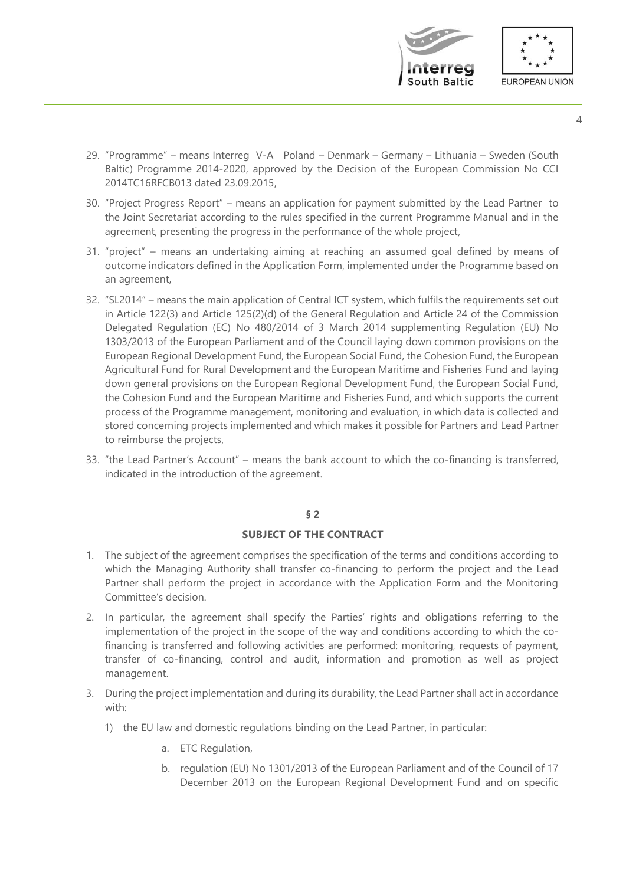



- 4
- 29. "Programme" means Interreg V-A Poland Denmark Germany Lithuania Sweden (South Baltic) Programme 2014-2020, approved by the Decision of the European Commission No CCI 2014TC16RFCB013 dated 23.09.2015,
- 30. "Project Progress Report" means an application for payment submitted by the Lead Partner to the Joint Secretariat according to the rules specified in the current Programme Manual and in the agreement, presenting the progress in the performance of the whole project,
- 31. "project" means an undertaking aiming at reaching an assumed goal defined by means of outcome indicators defined in the Application Form, implemented under the Programme based on an agreement,
- 32. "SL2014" means the main application of Central ICT system, which fulfils the requirements set out in Article 122(3) and Article 125(2)(d) of the General Regulation and Article 24 of the Commission Delegated Regulation (EC) No 480/2014 of 3 March 2014 supplementing Regulation (EU) No 1303/2013 of the European Parliament and of the Council laying down common provisions on the European Regional Development Fund, the European Social Fund, the Cohesion Fund, the European Agricultural Fund for Rural Development and the European Maritime and Fisheries Fund and laying down general provisions on the European Regional Development Fund, the European Social Fund, the Cohesion Fund and the European Maritime and Fisheries Fund, and which supports the current process of the Programme management, monitoring and evaluation, in which data is collected and stored concerning projects implemented and which makes it possible for Partners and Lead Partner to reimburse the projects,
- 33. "the Lead Partner's Account" means the bank account to which the co-financing is transferred, indicated in the introduction of the agreement.

# **SUBJECT OF THE CONTRACT**

- 1. The subject of the agreement comprises the specification of the terms and conditions according to which the Managing Authority shall transfer co-financing to perform the project and the Lead Partner shall perform the project in accordance with the Application Form and the Monitoring Committee's decision.
- 2. In particular, the agreement shall specify the Parties' rights and obligations referring to the implementation of the project in the scope of the way and conditions according to which the cofinancing is transferred and following activities are performed: monitoring, requests of payment, transfer of co-financing, control and audit, information and promotion as well as project management.
- 3. During the project implementation and during its durability, the Lead Partner shall act in accordance with:
	- 1) the EU law and domestic regulations binding on the Lead Partner, in particular:
		- a. ETC Regulation,
		- b. regulation (EU) No 1301/2013 of the European Parliament and of the Council of 17 December 2013 on the European Regional Development Fund and on specific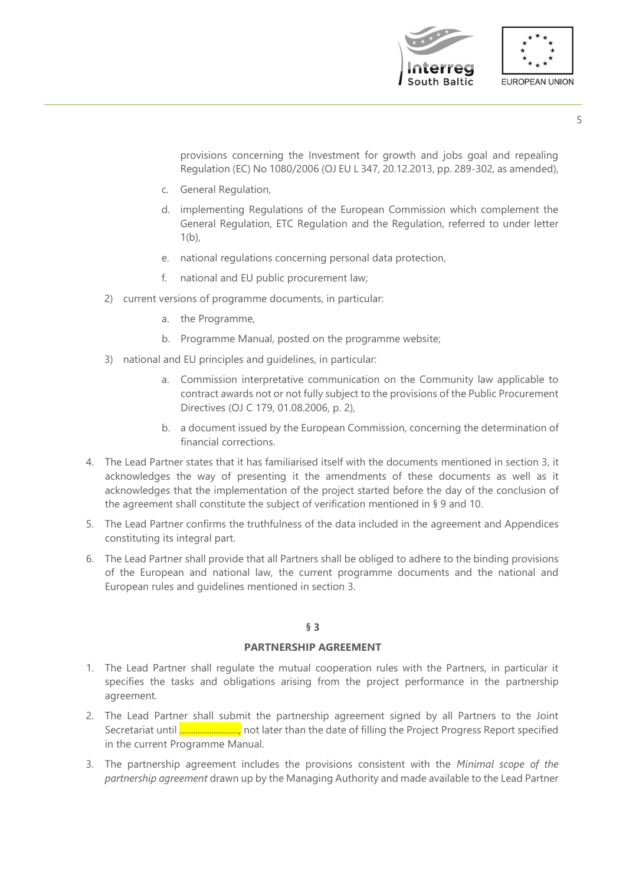

provisions concerning the Investment for growth and jobs goal and repealing Regulation (EC) No 1080/2006 (OJ EU L 347, 20.12.2013, pp. 289-302, as amended),

- c. General Regulation,
- d. implementing Regulations of the European Commission which complement the General Regulation, ETC Regulation and the Regulation, referred to under letter  $1(b)$ ,
- e. national regulations concerning personal data protection,
- f. national and EU public procurement law;
- 2) current versions of programme documents, in particular:
	- a. the Programme,
	- b. Programme Manual, posted on the programme website;
- 3) national and EU principles and guidelines, in particular:
	- a. Commission interpretative communication on the Community law applicable to contract awards not or not fully subject to the provisions of the Public Procurement Directives (OJ C 179, 01.08.2006, p. 2),
	- b. a document issued by the European Commission, concerning the determination of financial corrections.
- 4. The Lead Partner states that it has familiarised itself with the documents mentioned in section 3, it acknowledges the way of presenting it the amendments of these documents as well as it acknowledges that the implementation of the project started before the day of the conclusion of the agreement shall constitute the subject of verification mentioned in § 9 and 10.
- 5. The Lead Partner confirms the truthfulness of the data included in the agreement and Appendices constituting its integral part.
- 6. The Lead Partner shall provide that all Partners shall be obliged to adhere to the binding provisions of the European and national law, the current programme documents and the national and European rules and guidelines mentioned in section 3.

# **§ 3**

# **PARTNERSHIP AGREEMENT**

- 1. The Lead Partner shall regulate the mutual cooperation rules with the Partners, in particular it specifies the tasks and obligations arising from the project performance in the partnership agreement.
- 2. The Lead Partner shall submit the partnership agreement signed by all Partners to the Joint Secretariat until .........................., not later than the date of filling the Project Progress Report specified in the current Programme Manual.
- 3. The partnership agreement includes the provisions consistent with the *Minimal scope of the partnership agreement* drawn up by the Managing Authority and made available to the Lead Partner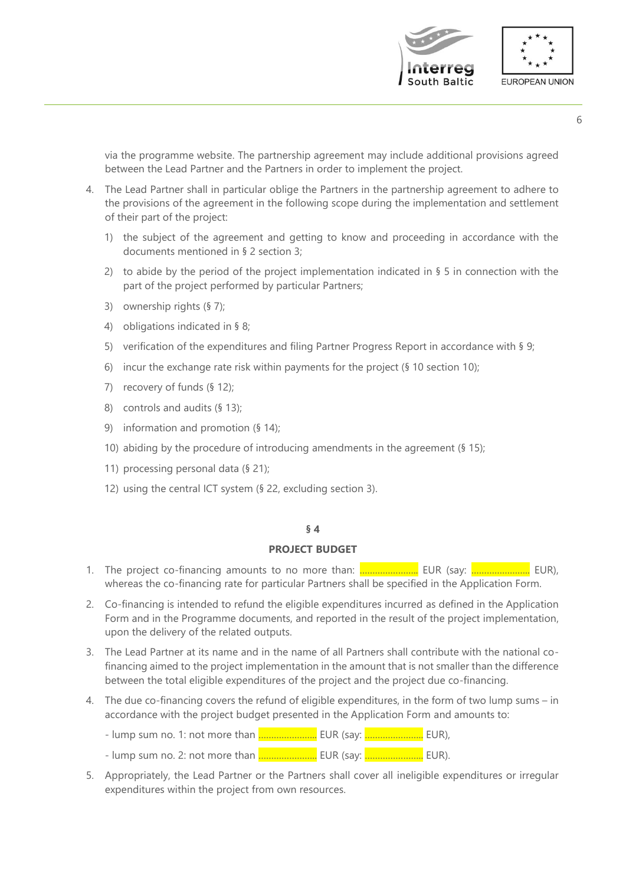

via the programme website. The partnership agreement may include additional provisions agreed between the Lead Partner and the Partners in order to implement the project.

- 4. The Lead Partner shall in particular oblige the Partners in the partnership agreement to adhere to the provisions of the agreement in the following scope during the implementation and settlement of their part of the project:
	- 1) the subject of the agreement and getting to know and proceeding in accordance with the documents mentioned in § 2 section 3;
	- 2) to abide by the period of the project implementation indicated in  $\S 5$  in connection with the part of the project performed by particular Partners;
	- 3) ownership rights (§ 7);
	- 4) obligations indicated in § 8;
	- 5) verification of the expenditures and filing Partner Progress Report in accordance with § 9;
	- 6) incur the exchange rate risk within payments for the project (§ 10 section 10);
	- 7) recovery of funds (§ 12);
	- 8) controls and audits (§ 13);
	- 9) information and promotion (§ 14);
	- 10) abiding by the procedure of introducing amendments in the agreement (§ 15);
	- 11) processing personal data (§ 21);
	- 12) using the central ICT system (§ 22, excluding section 3).

#### **§ 4**

#### **PROJECT BUDGET**

- 1. The project co-financing amounts to no more than: ………………….. EUR (say: ………………….. EUR), whereas the co-financing rate for particular Partners shall be specified in the Application Form.
- 2. Co-financing is intended to refund the eligible expenditures incurred as defined in the Application Form and in the Programme documents, and reported in the result of the project implementation, upon the delivery of the related outputs.
- 3. The Lead Partner at its name and in the name of all Partners shall contribute with the national cofinancing aimed to the project implementation in the amount that is not smaller than the difference between the total eligible expenditures of the project and the project due co-financing.
- 4. The due co-financing covers the refund of eligible expenditures, in the form of two lump sums in accordance with the project budget presented in the Application Form and amounts to:
	- lump sum no. 1: not more than ........................ EUR (say: ........................... EUR),
	- lump sum no. 2: not more than <mark>……………………..</mark> EUR (say: <mark>……………………..</mark> EUR).
- 5. Appropriately, the Lead Partner or the Partners shall cover all ineligible expenditures or irregular expenditures within the project from own resources.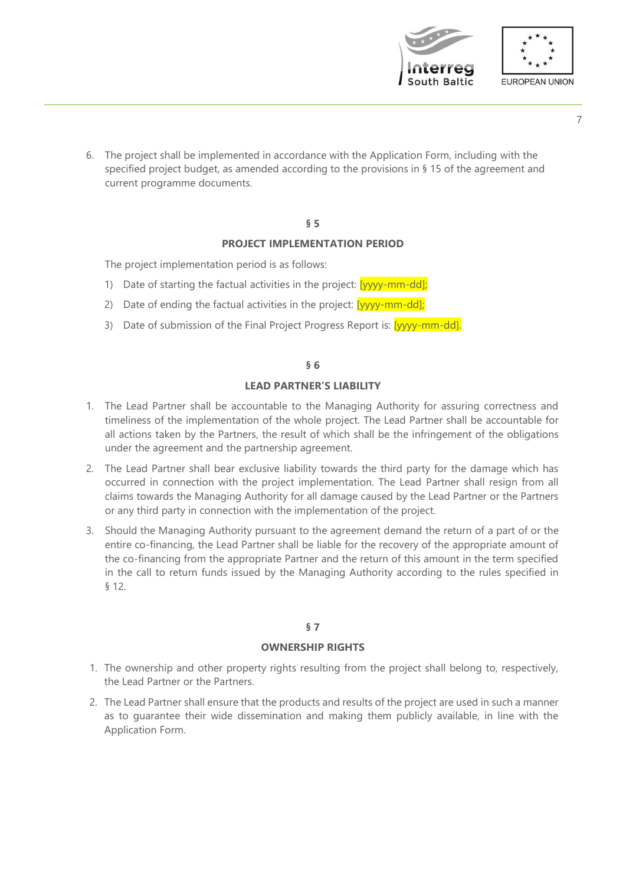



- 7
- 6. The project shall be implemented in accordance with the Application Form, including with the specified project budget, as amended according to the provisions in § 15 of the agreement and current programme documents.

# **PROJECT IMPLEMENTATION PERIOD**

The project implementation period is as follows:

- 1) Date of starting the factual activities in the project:  $\frac{1}{2}$  [yyyy-mm-dd];
- 2) Date of ending the factual activities in the project:  $[yyyy-mm-dd]$ ;
- 3) Date of submission of the Final Project Progress Report is: [yyyy-mm-dd].

#### **§ 6**

# **LEAD PARTNER'S LIABILITY**

- 1. The Lead Partner shall be accountable to the Managing Authority for assuring correctness and timeliness of the implementation of the whole project. The Lead Partner shall be accountable for all actions taken by the Partners, the result of which shall be the infringement of the obligations under the agreement and the partnership agreement.
- 2. The Lead Partner shall bear exclusive liability towards the third party for the damage which has occurred in connection with the project implementation. The Lead Partner shall resign from all claims towards the Managing Authority for all damage caused by the Lead Partner or the Partners or any third party in connection with the implementation of the project.
- 3. Should the Managing Authority pursuant to the agreement demand the return of a part of or the entire co-financing, the Lead Partner shall be liable for the recovery of the appropriate amount of the co-financing from the appropriate Partner and the return of this amount in the term specified in the call to return funds issued by the Managing Authority according to the rules specified in § 12.

# **§ 7**

# **OWNERSHIP RIGHTS**

- 1. The ownership and other property rights resulting from the project shall belong to, respectively, the Lead Partner or the Partners.
- 2. The Lead Partner shall ensure that the products and results of the project are used in such a manner as to guarantee their wide dissemination and making them publicly available, in line with the Application Form.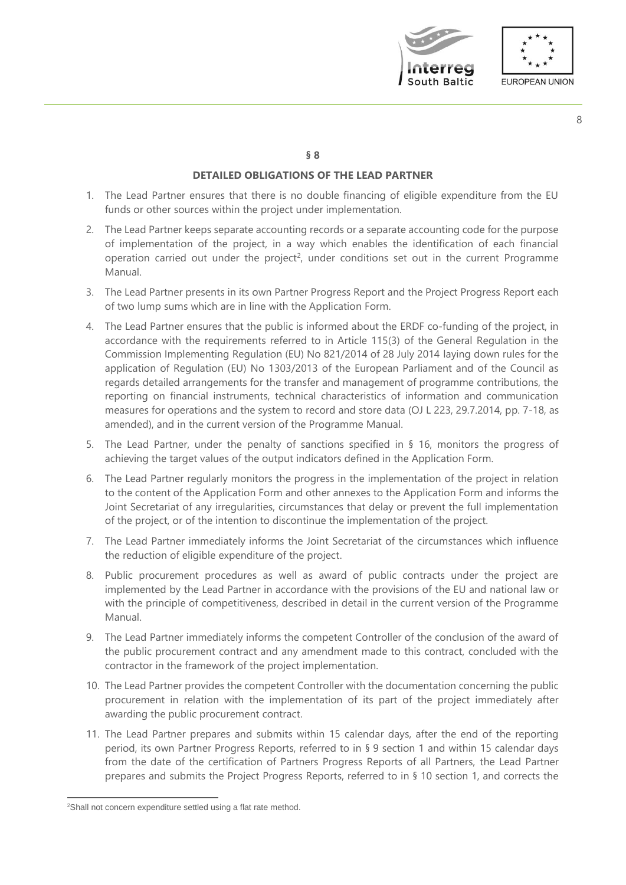



#### **§ 8**

# **DETAILED OBLIGATIONS OF THE LEAD PARTNER**

- 1. The Lead Partner ensures that there is no double financing of eligible expenditure from the EU funds or other sources within the project under implementation.
- 2. The Lead Partner keeps separate accounting records or a separate accounting code for the purpose of implementation of the project, in a way which enables the identification of each financial operation carried out under the project<sup>2</sup>, under conditions set out in the current Programme Manual.
- 3. The Lead Partner presents in its own Partner Progress Report and the Project Progress Report each of two lump sums which are in line with the Application Form.
- 4. The Lead Partner ensures that the public is informed about the ERDF co-funding of the project, in accordance with the requirements referred to in Article 115(3) of the General Regulation in the Commission Implementing Regulation (EU) No 821/2014 of 28 July 2014 laying down rules for the application of Regulation (EU) No 1303/2013 of the European Parliament and of the Council as regards detailed arrangements for the transfer and management of programme contributions, the reporting on financial instruments, technical characteristics of information and communication measures for operations and the system to record and store data (OJ L 223, 29.7.2014, pp. 7-18, as amended), and in the current version of the Programme Manual.
- 5. The Lead Partner, under the penalty of sanctions specified in § 16, monitors the progress of achieving the target values of the output indicators defined in the Application Form.
- 6. The Lead Partner regularly monitors the progress in the implementation of the project in relation to the content of the Application Form and other annexes to the Application Form and informs the Joint Secretariat of any irregularities, circumstances that delay or prevent the full implementation of the project, or of the intention to discontinue the implementation of the project.
- 7. The Lead Partner immediately informs the Joint Secretariat of the circumstances which influence the reduction of eligible expenditure of the project.
- 8. Public procurement procedures as well as award of public contracts under the project are implemented by the Lead Partner in accordance with the provisions of the EU and national law or with the principle of competitiveness, described in detail in the current version of the Programme Manual.
- 9. The Lead Partner immediately informs the competent Controller of the conclusion of the award of the public procurement contract and any amendment made to this contract, concluded with the contractor in the framework of the project implementation.
- 10. The Lead Partner provides the competent Controller with the documentation concerning the public procurement in relation with the implementation of its part of the project immediately after awarding the public procurement contract.
- 11. The Lead Partner prepares and submits within 15 calendar days, after the end of the reporting period, its own Partner Progress Reports, referred to in § 9 section 1 and within 15 calendar days from the date of the certification of Partners Progress Reports of all Partners, the Lead Partner prepares and submits the Project Progress Reports, referred to in § 10 section 1, and corrects the

<sup>&</sup>lt;sup>2</sup>Shall not concern expenditure settled using a flat rate method.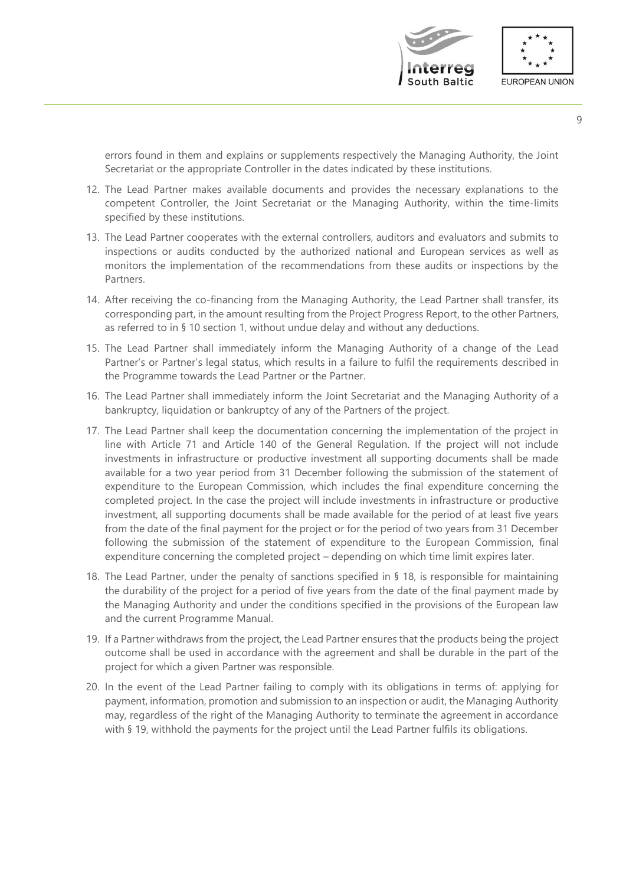



errors found in them and explains or supplements respectively the Managing Authority, the Joint Secretariat or the appropriate Controller in the dates indicated by these institutions.

- 12. The Lead Partner makes available documents and provides the necessary explanations to the competent Controller, the Joint Secretariat or the Managing Authority, within the time-limits specified by these institutions.
- 13. The Lead Partner cooperates with the external controllers, auditors and evaluators and submits to inspections or audits conducted by the authorized national and European services as well as monitors the implementation of the recommendations from these audits or inspections by the Partners.
- 14. After receiving the co-financing from the Managing Authority, the Lead Partner shall transfer, its corresponding part, in the amount resulting from the Project Progress Report, to the other Partners, as referred to in § 10 section 1, without undue delay and without any deductions.
- 15. The Lead Partner shall immediately inform the Managing Authority of a change of the Lead Partner's or Partner's legal status, which results in a failure to fulfil the requirements described in the Programme towards the Lead Partner or the Partner.
- 16. The Lead Partner shall immediately inform the Joint Secretariat and the Managing Authority of a bankruptcy, liquidation or bankruptcy of any of the Partners of the project.
- 17. The Lead Partner shall keep the documentation concerning the implementation of the project in line with Article 71 and Article 140 of the General Regulation. If the project will not include investments in infrastructure or productive investment all supporting documents shall be made available for a two year period from 31 December following the submission of the statement of expenditure to the European Commission, which includes the final expenditure concerning the completed project. In the case the project will include investments in infrastructure or productive investment, all supporting documents shall be made available for the period of at least five years from the date of the final payment for the project or for the period of two years from 31 December following the submission of the statement of expenditure to the European Commission, final expenditure concerning the completed project – depending on which time limit expires later.
- 18. The Lead Partner, under the penalty of sanctions specified in § 18, is responsible for maintaining the durability of the project for a period of five years from the date of the final payment made by the Managing Authority and under the conditions specified in the provisions of the European law and the current Programme Manual.
- 19. If a Partner withdraws from the project, the Lead Partner ensures that the products being the project outcome shall be used in accordance with the agreement and shall be durable in the part of the project for which a given Partner was responsible.
- 20. In the event of the Lead Partner failing to comply with its obligations in terms of: applying for payment, information, promotion and submission to an inspection or audit, the Managing Authority may, regardless of the right of the Managing Authority to terminate the agreement in accordance with § 19, withhold the payments for the project until the Lead Partner fulfils its obligations.

9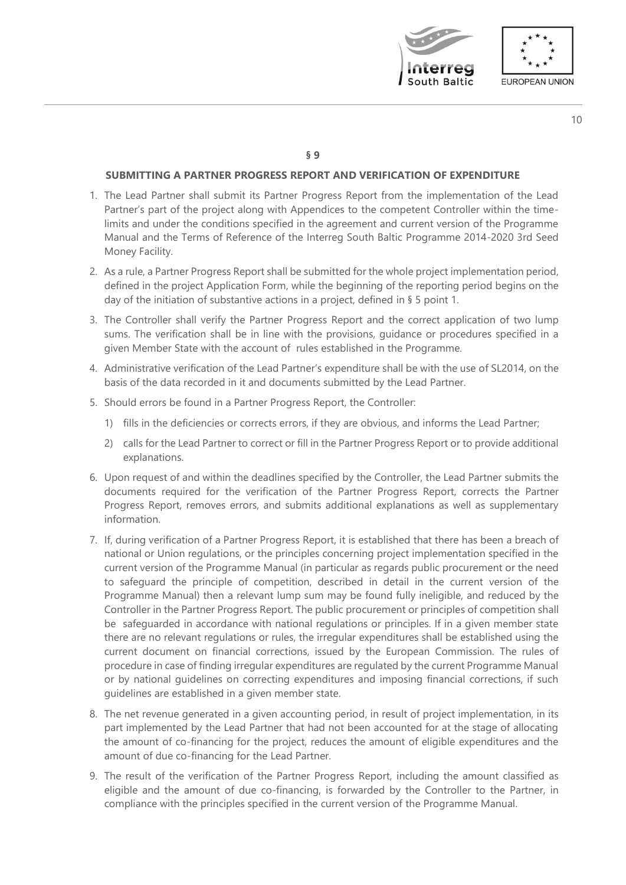



#### **§ 9**

# **SUBMITTING A PARTNER PROGRESS REPORT AND VERIFICATION OF EXPENDITURE**

- 1. The Lead Partner shall submit its Partner Progress Report from the implementation of the Lead Partner's part of the project along with Appendices to the competent Controller within the timelimits and under the conditions specified in the agreement and current version of the Programme Manual and the Terms of Reference of the Interreg South Baltic Programme 2014-2020 3rd Seed Money Facility.
- 2. As a rule, a Partner Progress Report shall be submitted for the whole project implementation period, defined in the project Application Form, while the beginning of the reporting period begins on the day of the initiation of substantive actions in a project, defined in § 5 point 1.
- 3. The Controller shall verify the Partner Progress Report and the correct application of two lump sums. The verification shall be in line with the provisions, guidance or procedures specified in a given Member State with the account of rules established in the Programme.
- 4. Administrative verification of the Lead Partner's expenditure shall be with the use of SL2014, on the basis of the data recorded in it and documents submitted by the Lead Partner.
- 5. Should errors be found in a Partner Progress Report, the Controller:
	- 1) fills in the deficiencies or corrects errors, if they are obvious, and informs the Lead Partner;
	- 2) calls for the Lead Partner to correct or fill in the Partner Progress Report or to provide additional explanations.
- 6. Upon request of and within the deadlines specified by the Controller, the Lead Partner submits the documents required for the verification of the Partner Progress Report, corrects the Partner Progress Report, removes errors, and submits additional explanations as well as supplementary information.
- 7. If, during verification of a Partner Progress Report, it is established that there has been a breach of national or Union regulations, or the principles concerning project implementation specified in the current version of the Programme Manual (in particular as regards public procurement or the need to safeguard the principle of competition, described in detail in the current version of the Programme Manual) then a relevant lump sum may be found fully ineligible, and reduced by the Controller in the Partner Progress Report. The public procurement or principles of competition shall be safeguarded in accordance with national regulations or principles. If in a given member state there are no relevant regulations or rules, the irregular expenditures shall be established using the current document on financial corrections, issued by the European Commission. The rules of procedure in case of finding irregular expenditures are regulated by the current Programme Manual or by national guidelines on correcting expenditures and imposing financial corrections, if such guidelines are established in a given member state.
- 8. The net revenue generated in a given accounting period, in result of project implementation, in its part implemented by the Lead Partner that had not been accounted for at the stage of allocating the amount of co-financing for the project, reduces the amount of eligible expenditures and the amount of due co-financing for the Lead Partner.
- 9. The result of the verification of the Partner Progress Report, including the amount classified as eligible and the amount of due co-financing, is forwarded by the Controller to the Partner, in compliance with the principles specified in the current version of the Programme Manual.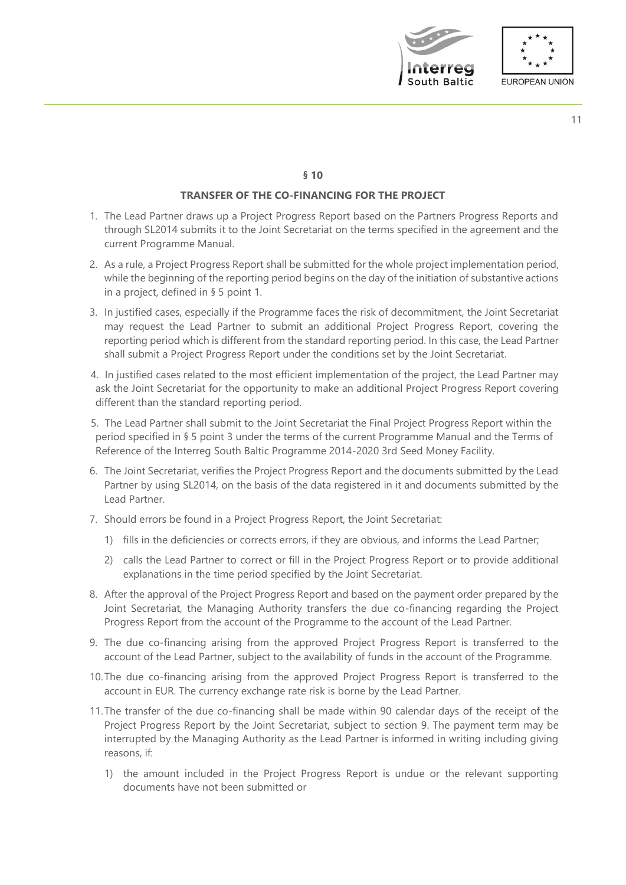



### **TRANSFER OF THE CO-FINANCING FOR THE PROJECT**

- 1. The Lead Partner draws up a Project Progress Report based on the Partners Progress Reports and through SL2014 submits it to the Joint Secretariat on the terms specified in the agreement and the current Programme Manual.
- 2. As a rule, a Project Progress Report shall be submitted for the whole project implementation period, while the beginning of the reporting period begins on the day of the initiation of substantive actions in a project, defined in § 5 point 1.
- 3. In justified cases, especially if the Programme faces the risk of decommitment, the Joint Secretariat may request the Lead Partner to submit an additional Project Progress Report, covering the reporting period which is different from the standard reporting period. In this case, the Lead Partner shall submit a Project Progress Report under the conditions set by the Joint Secretariat.
- 4. In justified cases related to the most efficient implementation of the project, the Lead Partner may ask the Joint Secretariat for the opportunity to make an additional Project Progress Report covering different than the standard reporting period.
- 5. The Lead Partner shall submit to the Joint Secretariat the Final Project Progress Report within the period specified in § 5 point 3 under the terms of the current Programme Manual and the Terms of Reference of the Interreg South Baltic Programme 2014-2020 3rd Seed Money Facility.
- 6. The Joint Secretariat, verifies the Project Progress Report and the documents submitted by the Lead Partner by using SL2014, on the basis of the data registered in it and documents submitted by the Lead Partner.
- 7. Should errors be found in a Project Progress Report, the Joint Secretariat:
	- 1) fills in the deficiencies or corrects errors, if they are obvious, and informs the Lead Partner;
	- 2) calls the Lead Partner to correct or fill in the Project Progress Report or to provide additional explanations in the time period specified by the Joint Secretariat.
- 8. After the approval of the Project Progress Report and based on the payment order prepared by the Joint Secretariat, the Managing Authority transfers the due co-financing regarding the Project Progress Report from the account of the Programme to the account of the Lead Partner.
- 9. The due co-financing arising from the approved Project Progress Report is transferred to the account of the Lead Partner, subject to the availability of funds in the account of the Programme.
- 10.The due co-financing arising from the approved Project Progress Report is transferred to the account in EUR. The currency exchange rate risk is borne by the Lead Partner.
- 11.The transfer of the due co-financing shall be made within 90 calendar days of the receipt of the Project Progress Report by the Joint Secretariat, subject to section 9. The payment term may be interrupted by the Managing Authority as the Lead Partner is informed in writing including giving reasons, if:
	- 1) the amount included in the Project Progress Report is undue or the relevant supporting documents have not been submitted or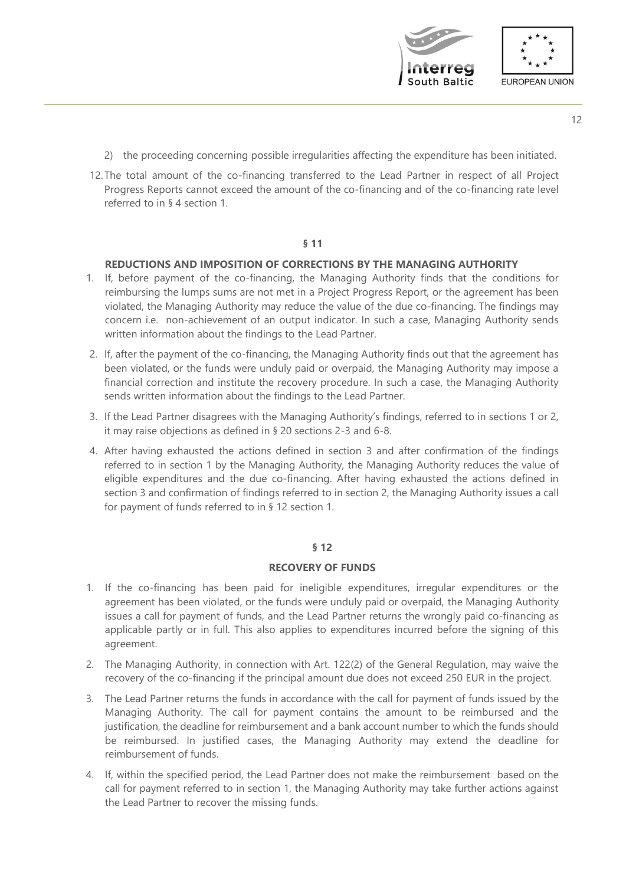

- 12
- 2) the proceeding concerning possible irregularities affecting the expenditure has been initiated.
- 12.The total amount of the co-financing transferred to the Lead Partner in respect of all Project Progress Reports cannot exceed the amount of the co-financing and of the co-financing rate level referred to in § 4 section 1.

# **REDUCTIONS AND IMPOSITION OF CORRECTIONS BY THE MANAGING AUTHORITY**

- 1. If, before payment of the co-financing, the Managing Authority finds that the conditions for reimbursing the lumps sums are not met in a Project Progress Report, or the agreement has been violated, the Managing Authority may reduce the value of the due co-financing. The findings may concern i.e. non-achievement of an output indicator. In such a case, Managing Authority sends written information about the findings to the Lead Partner.
- 2. If, after the payment of the co-financing, the Managing Authority finds out that the agreement has been violated, or the funds were unduly paid or overpaid, the Managing Authority may impose a financial correction and institute the recovery procedure. In such a case, the Managing Authority sends written information about the findings to the Lead Partner.
- 3. If the Lead Partner disagrees with the Managing Authority's findings, referred to in sections 1 or 2, it may raise objections as defined in § 20 sections 2-3 and 6-8.
- 4. After having exhausted the actions defined in section 3 and after confirmation of the findings referred to in section 1 by the Managing Authority, the Managing Authority reduces the value of eligible expenditures and the due co-financing. After having exhausted the actions defined in section 3 and confirmation of findings referred to in section 2, the Managing Authority issues a call for payment of funds referred to in § 12 section 1.

#### **§ 12**

#### **RECOVERY OF FUNDS**

- 1. If the co-financing has been paid for ineligible expenditures, irregular expenditures or the agreement has been violated, or the funds were unduly paid or overpaid, the Managing Authority issues a call for payment of funds, and the Lead Partner returns the wrongly paid co-financing as applicable partly or in full. This also applies to expenditures incurred before the signing of this agreement.
- 2. The Managing Authority, in connection with Art. 122(2) of the General Regulation, may waive the recovery of the co-financing if the principal amount due does not exceed 250 EUR in the project.
- 3. The Lead Partner returns the funds in accordance with the call for payment of funds issued by the Managing Authority. The call for payment contains the amount to be reimbursed and the justification, the deadline for reimbursement and a bank account number to which the funds should be reimbursed. In justified cases, the Managing Authority may extend the deadline for reimbursement of funds.
- 4. If, within the specified period, the Lead Partner does not make the reimbursement based on the call for payment referred to in section 1, the Managing Authority may take further actions against the Lead Partner to recover the missing funds.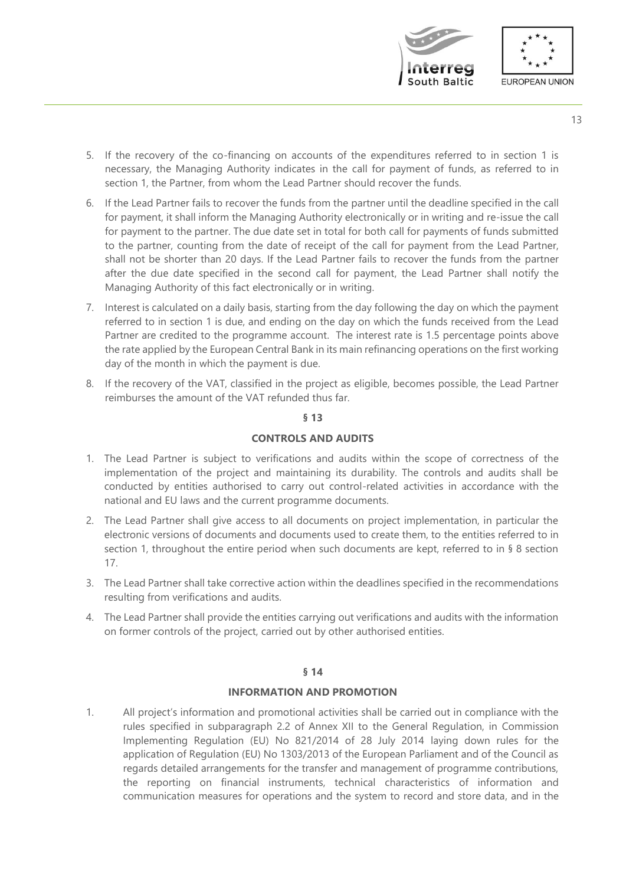



- 5. If the recovery of the co-financing on accounts of the expenditures referred to in section 1 is necessary, the Managing Authority indicates in the call for payment of funds, as referred to in section 1, the Partner, from whom the Lead Partner should recover the funds.
- 6. If the Lead Partner fails to recover the funds from the partner until the deadline specified in the call for payment, it shall inform the Managing Authority electronically or in writing and re-issue the call for payment to the partner. The due date set in total for both call for payments of funds submitted to the partner, counting from the date of receipt of the call for payment from the Lead Partner, shall not be shorter than 20 days. If the Lead Partner fails to recover the funds from the partner after the due date specified in the second call for payment, the Lead Partner shall notify the Managing Authority of this fact electronically or in writing.
- 7. Interest is calculated on a daily basis, starting from the day following the day on which the payment referred to in section 1 is due, and ending on the day on which the funds received from the Lead Partner are credited to the programme account. The interest rate is 1.5 percentage points above the rate applied by the European Central Bank in its main refinancing operations on the first working day of the month in which the payment is due.
- 8. If the recovery of the VAT, classified in the project as eligible, becomes possible, the Lead Partner reimburses the amount of the VAT refunded thus far.

# **CONTROLS AND AUDITS**

- 1. The Lead Partner is subject to verifications and audits within the scope of correctness of the implementation of the project and maintaining its durability. The controls and audits shall be conducted by entities authorised to carry out control-related activities in accordance with the national and EU laws and the current programme documents.
- 2. The Lead Partner shall give access to all documents on project implementation, in particular the electronic versions of documents and documents used to create them, to the entities referred to in section 1, throughout the entire period when such documents are kept, referred to in § 8 section 17.
- 3. The Lead Partner shall take corrective action within the deadlines specified in the recommendations resulting from verifications and audits.
- 4. The Lead Partner shall provide the entities carrying out verifications and audits with the information on former controls of the project, carried out by other authorised entities.

# **§ 14**

# **INFORMATION AND PROMOTION**

1. All project's information and promotional activities shall be carried out in compliance with the rules specified in subparagraph 2.2 of Annex XII to the General Regulation, in Commission Implementing Regulation (EU) No 821/2014 of 28 July 2014 laying down rules for the application of Regulation (EU) No 1303/2013 of the European Parliament and of the Council as regards detailed arrangements for the transfer and management of programme contributions, the reporting on financial instruments, technical characteristics of information and communication measures for operations and the system to record and store data, and in the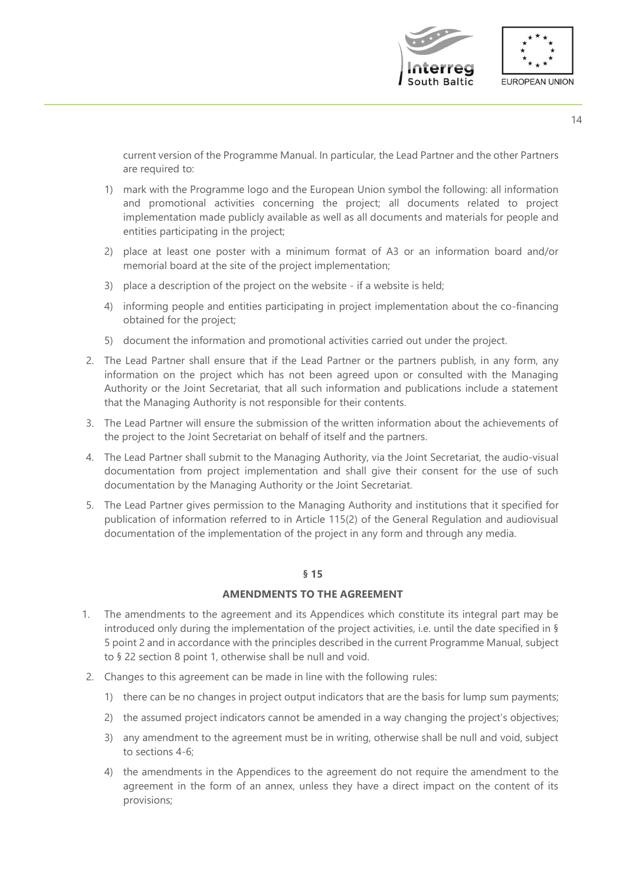

current version of the Programme Manual. In particular, the Lead Partner and the other Partners are required to:

- 1) mark with the Programme logo and the European Union symbol the following: all information and promotional activities concerning the project; all documents related to project implementation made publicly available as well as all documents and materials for people and entities participating in the project;
- 2) place at least one poster with a minimum format of A3 or an information board and/or memorial board at the site of the project implementation;
- 3) place a description of the project on the website if a website is held;
- 4) informing people and entities participating in project implementation about the co-financing obtained for the project;
- 5) document the information and promotional activities carried out under the project.
- 2. The Lead Partner shall ensure that if the Lead Partner or the partners publish, in any form, any information on the project which has not been agreed upon or consulted with the Managing Authority or the Joint Secretariat, that all such information and publications include a statement that the Managing Authority is not responsible for their contents.
- 3. The Lead Partner will ensure the submission of the written information about the achievements of the project to the Joint Secretariat on behalf of itself and the partners.
- 4. The Lead Partner shall submit to the Managing Authority, via the Joint Secretariat, the audio-visual documentation from project implementation and shall give their consent for the use of such documentation by the Managing Authority or the Joint Secretariat.
- 5. The Lead Partner gives permission to the Managing Authority and institutions that it specified for publication of information referred to in Article 115(2) of the General Regulation and audiovisual documentation of the implementation of the project in any form and through any media.

# **§ 15**

# **AMENDMENTS TO THE AGREEMENT**

- 1. The amendments to the agreement and its Appendices which constitute its integral part may be introduced only during the implementation of the project activities, i.e. until the date specified in § 5 point 2 and in accordance with the principles described in the current Programme Manual, subject to § 22 section 8 point 1, otherwise shall be null and void.
- 2. Changes to this agreement can be made in line with the following rules:
	- 1) there can be no changes in project output indicators that are the basis for lump sum payments;
	- 2) the assumed project indicators cannot be amended in a way changing the project's objectives;
	- 3) any amendment to the agreement must be in writing, otherwise shall be null and void, subject to sections 4-6;
	- 4) the amendments in the Appendices to the agreement do not require the amendment to the agreement in the form of an annex, unless they have a direct impact on the content of its provisions;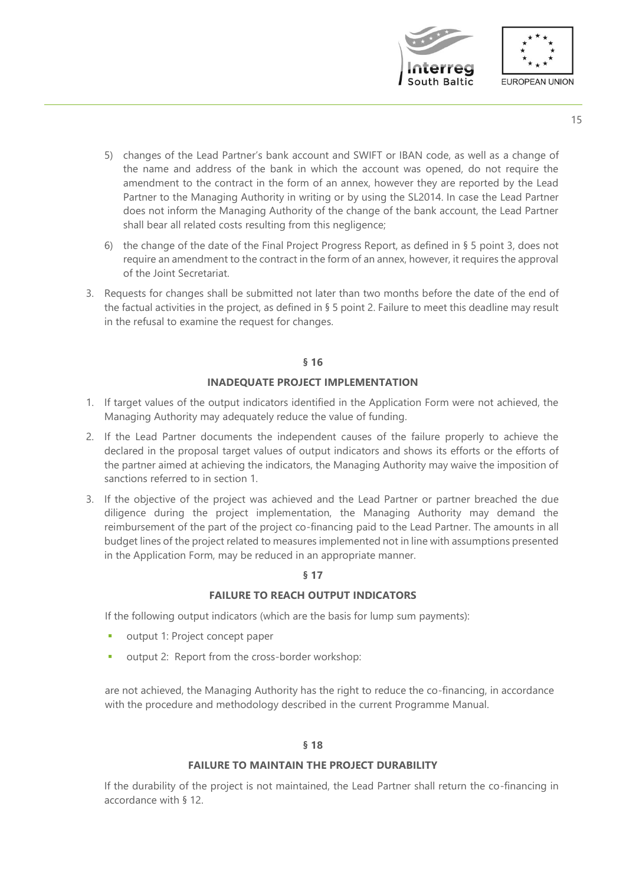

- 5) changes of the Lead Partner's bank account and SWIFT or IBAN code, as well as a change of the name and address of the bank in which the account was opened, do not require the amendment to the contract in the form of an annex, however they are reported by the Lead Partner to the Managing Authority in writing or by using the SL2014. In case the Lead Partner does not inform the Managing Authority of the change of the bank account, the Lead Partner shall bear all related costs resulting from this negligence;
- 6) the change of the date of the Final Project Progress Report, as defined in § 5 point 3, does not require an amendment to the contract in the form of an annex, however, it requires the approval of the Joint Secretariat.
- 3. Requests for changes shall be submitted not later than two months before the date of the end of the factual activities in the project, as defined in § 5 point 2. Failure to meet this deadline may result in the refusal to examine the request for changes.

#### **§ 16**

#### **INADEQUATE PROJECT IMPLEMENTATION**

- 1. If target values of the output indicators identified in the Application Form were not achieved, the Managing Authority may adequately reduce the value of funding.
- 2. If the Lead Partner documents the independent causes of the failure properly to achieve the declared in the proposal target values of output indicators and shows its efforts or the efforts of the partner aimed at achieving the indicators, the Managing Authority may waive the imposition of sanctions referred to in section 1.
- 3. If the objective of the project was achieved and the Lead Partner or partner breached the due diligence during the project implementation, the Managing Authority may demand the reimbursement of the part of the project co-financing paid to the Lead Partner. The amounts in all budget lines of the project related to measures implemented not in line with assumptions presented in the Application Form, may be reduced in an appropriate manner.

#### **§ 17**

# **FAILURE TO REACH OUTPUT INDICATORS**

If the following output indicators (which are the basis for lump sum payments):

- output 1: Project concept paper
- output 2: Report from the cross-border workshop:

are not achieved, the Managing Authority has the right to reduce the co-financing, in accordance with the procedure and methodology described in the current Programme Manual.

#### **§ 18**

#### **FAILURE TO MAINTAIN THE PROJECT DURABILITY**

If the durability of the project is not maintained, the Lead Partner shall return the co-financing in accordance with § 12.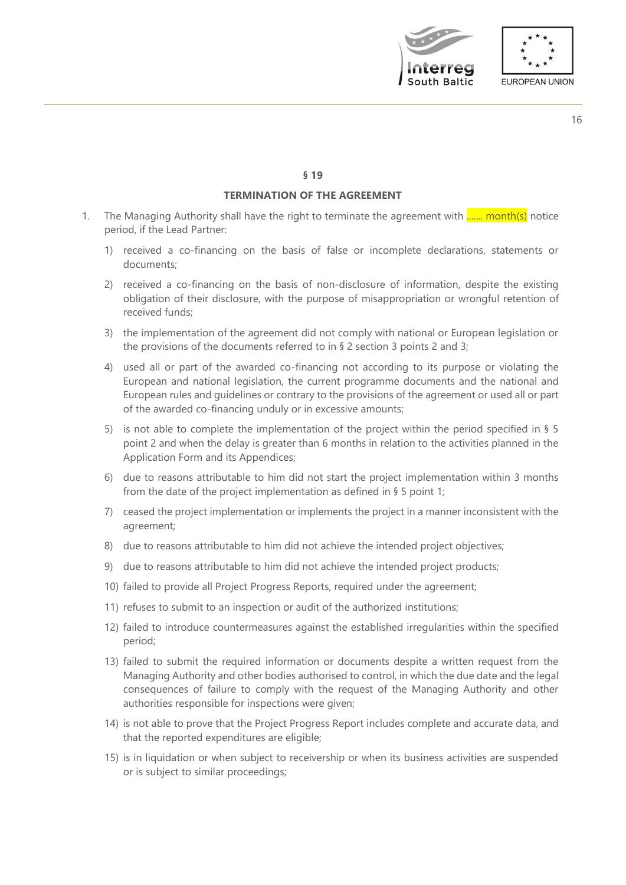



#### **§ 19**

# **TERMINATION OF THE AGREEMENT**

- 1. The Managing Authority shall have the right to terminate the agreement with  $\frac{1}{\ldots}$  month(s) notice period, if the Lead Partner:
	- 1) received a co-financing on the basis of false or incomplete declarations, statements or documents;
	- 2) received a co-financing on the basis of non-disclosure of information, despite the existing obligation of their disclosure, with the purpose of misappropriation or wrongful retention of received funds;
	- 3) the implementation of the agreement did not comply with national or European legislation or the provisions of the documents referred to in § 2 section 3 points 2 and 3;
	- 4) used all or part of the awarded co-financing not according to its purpose or violating the European and national legislation, the current programme documents and the national and European rules and guidelines or contrary to the provisions of the agreement or used all or part of the awarded co-financing unduly or in excessive amounts;
	- 5) is not able to complete the implementation of the project within the period specified in § 5 point 2 and when the delay is greater than 6 months in relation to the activities planned in the Application Form and its Appendices;
	- 6) due to reasons attributable to him did not start the project implementation within 3 months from the date of the project implementation as defined in § 5 point 1;
	- 7) ceased the project implementation or implements the project in a manner inconsistent with the agreement;
	- 8) due to reasons attributable to him did not achieve the intended project objectives;
	- 9) due to reasons attributable to him did not achieve the intended project products;
	- 10) failed to provide all Project Progress Reports, required under the agreement;
	- 11) refuses to submit to an inspection or audit of the authorized institutions;
	- 12) failed to introduce countermeasures against the established irregularities within the specified period;
	- 13) failed to submit the required information or documents despite a written request from the Managing Authority and other bodies authorised to control, in which the due date and the legal consequences of failure to comply with the request of the Managing Authority and other authorities responsible for inspections were given;
	- 14) is not able to prove that the Project Progress Report includes complete and accurate data, and that the reported expenditures are eligible;
	- 15) is in liquidation or when subject to receivership or when its business activities are suspended or is subject to similar proceedings;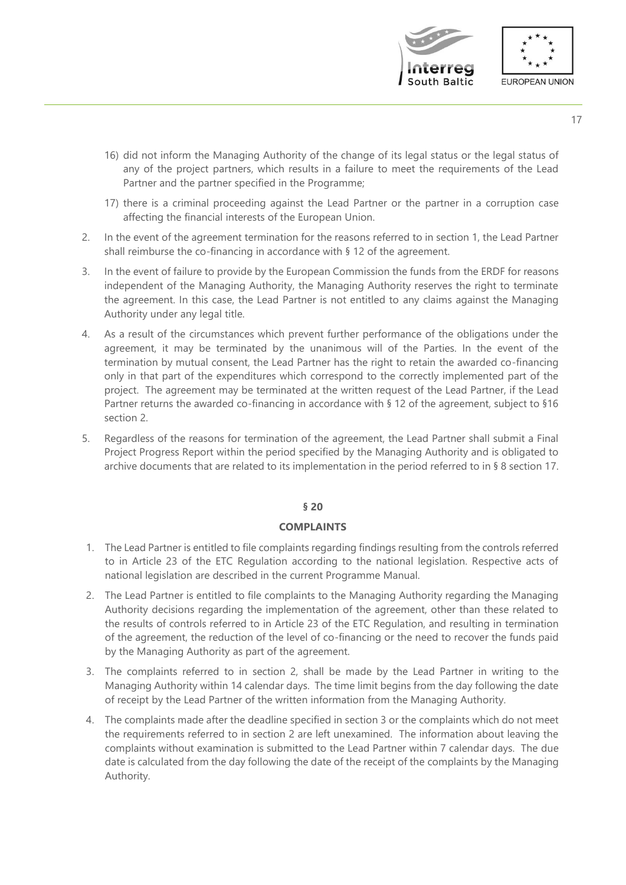



- 16) did not inform the Managing Authority of the change of its legal status or the legal status of any of the project partners, which results in a failure to meet the requirements of the Lead Partner and the partner specified in the Programme;
- 17) there is a criminal proceeding against the Lead Partner or the partner in a corruption case affecting the financial interests of the European Union.
- 2. In the event of the agreement termination for the reasons referred to in section 1, the Lead Partner shall reimburse the co-financing in accordance with § 12 of the agreement.
- 3. In the event of failure to provide by the European Commission the funds from the ERDF for reasons independent of the Managing Authority, the Managing Authority reserves the right to terminate the agreement. In this case, the Lead Partner is not entitled to any claims against the Managing Authority under any legal title.
- 4. As a result of the circumstances which prevent further performance of the obligations under the agreement, it may be terminated by the unanimous will of the Parties. In the event of the termination by mutual consent, the Lead Partner has the right to retain the awarded co-financing only in that part of the expenditures which correspond to the correctly implemented part of the project. The agreement may be terminated at the written request of the Lead Partner, if the Lead Partner returns the awarded co-financing in accordance with § 12 of the agreement, subject to §16 section 2.
- 5. Regardless of the reasons for termination of the agreement, the Lead Partner shall submit a Final Project Progress Report within the period specified by the Managing Authority and is obligated to archive documents that are related to its implementation in the period referred to in § 8 section 17.

# **COMPLAINTS**

- 1. The Lead Partner is entitled to file complaints regarding findings resulting from the controls referred to in Article 23 of the ETC Regulation according to the national legislation. Respective acts of national legislation are described in the current Programme Manual.
- 2. The Lead Partner is entitled to file complaints to the Managing Authority regarding the Managing Authority decisions regarding the implementation of the agreement, other than these related to the results of controls referred to in Article 23 of the ETC Regulation, and resulting in termination of the agreement, the reduction of the level of co-financing or the need to recover the funds paid by the Managing Authority as part of the agreement.
- 3. The complaints referred to in section 2, shall be made by the Lead Partner in writing to the Managing Authority within 14 calendar days. The time limit begins from the day following the date of receipt by the Lead Partner of the written information from the Managing Authority.
- 4. The complaints made after the deadline specified in section 3 or the complaints which do not meet the requirements referred to in section 2 are left unexamined. The information about leaving the complaints without examination is submitted to the Lead Partner within 7 calendar days. The due date is calculated from the day following the date of the receipt of the complaints by the Managing Authority.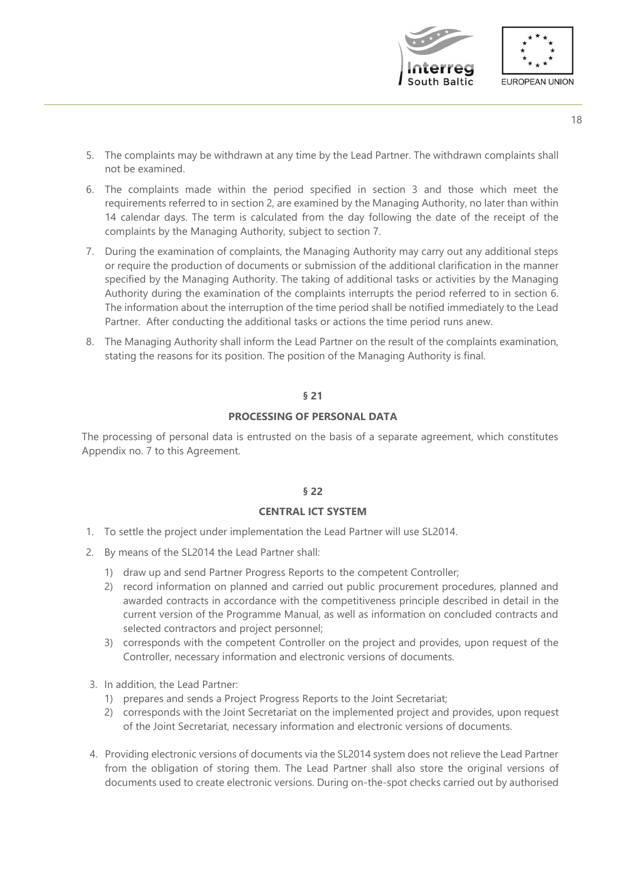

- 5. The complaints may be withdrawn at any time by the Lead Partner. The withdrawn complaints shall not be examined.
- 6. The complaints made within the period specified in section 3 and those which meet the requirements referred to in section 2, are examined by the Managing Authority, no later than within 14 calendar days. The term is calculated from the day following the date of the receipt of the complaints by the Managing Authority, subject to section 7.
- 7. During the examination of complaints, the Managing Authority may carry out any additional steps or require the production of documents or submission of the additional clarification in the manner specified by the Managing Authority. The taking of additional tasks or activities by the Managing Authority during the examination of the complaints interrupts the period referred to in section 6. The information about the interruption of the time period shall be notified immediately to the Lead Partner. After conducting the additional tasks or actions the time period runs anew.
- 8. The Managing Authority shall inform the Lead Partner on the result of the complaints examination, stating the reasons for its position. The position of the Managing Authority is final.

# **PROCESSING OF PERSONAL DATA**

The processing of personal data is entrusted on the basis of a separate agreement, which constitutes Appendix no. 7 to this Agreement.

# **§ 22**

#### **CENTRAL ICT SYSTEM**

- 1. To settle the project under implementation the Lead Partner will use SL2014.
- 2. By means of the SL2014 the Lead Partner shall:
	- 1) draw up and send Partner Progress Reports to the competent Controller;
	- 2) record information on planned and carried out public procurement procedures, planned and awarded contracts in accordance with the competitiveness principle described in detail in the current version of the Programme Manual, as well as information on concluded contracts and selected contractors and project personnel;
	- 3) corresponds with the competent Controller on the project and provides, upon request of the Controller, necessary information and electronic versions of documents.
- 3. In addition, the Lead Partner:
	- 1) prepares and sends a Project Progress Reports to the Joint Secretariat;
	- 2) corresponds with the Joint Secretariat on the implemented project and provides, upon request of the Joint Secretariat, necessary information and electronic versions of documents.
- 4. Providing electronic versions of documents via the SL2014 system does not relieve the Lead Partner from the obligation of storing them. The Lead Partner shall also store the original versions of documents used to create electronic versions. During on-the-spot checks carried out by authorised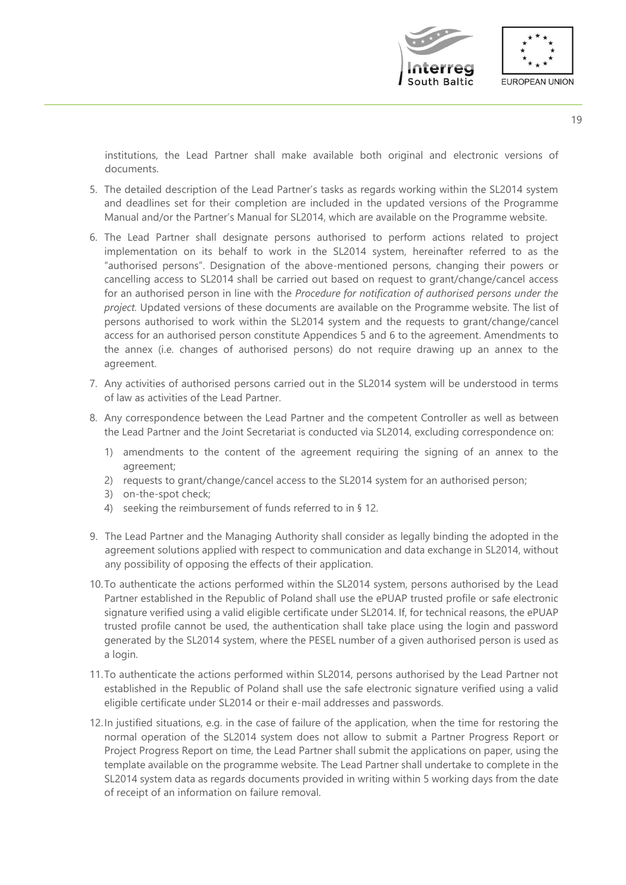

institutions, the Lead Partner shall make available both original and electronic versions of documents.

- 5. The detailed description of the Lead Partner's tasks as regards working within the SL2014 system and deadlines set for their completion are included in the updated versions of the Programme Manual and/or the Partner's Manual for SL2014, which are available on the Programme website.
- 6. The Lead Partner shall designate persons authorised to perform actions related to project implementation on its behalf to work in the SL2014 system, hereinafter referred to as the "authorised persons". Designation of the above-mentioned persons, changing their powers or cancelling access to SL2014 shall be carried out based on request to grant/change/cancel access for an authorised person in line with the *Procedure for notification of authorised persons under the project.* Updated versions of these documents are available on the Programme website. The list of persons authorised to work within the SL2014 system and the requests to grant/change/cancel access for an authorised person constitute Appendices 5 and 6 to the agreement. Amendments to the annex (i.e. changes of authorised persons) do not require drawing up an annex to the agreement.
- 7. Any activities of authorised persons carried out in the SL2014 system will be understood in terms of law as activities of the Lead Partner.
- 8. Any correspondence between the Lead Partner and the competent Controller as well as between the Lead Partner and the Joint Secretariat is conducted via SL2014, excluding correspondence on:
	- 1) amendments to the content of the agreement requiring the signing of an annex to the agreement;
	- 2) requests to grant/change/cancel access to the SL2014 system for an authorised person;
	- 3) on-the-spot check;
	- 4) seeking the reimbursement of funds referred to in § 12.
- 9. The Lead Partner and the Managing Authority shall consider as legally binding the adopted in the agreement solutions applied with respect to communication and data exchange in SL2014, without any possibility of opposing the effects of their application.
- 10.To authenticate the actions performed within the SL2014 system, persons authorised by the Lead Partner established in the Republic of Poland shall use the ePUAP trusted profile or safe electronic signature verified using a valid eligible certificate under SL2014. If, for technical reasons, the ePUAP trusted profile cannot be used, the authentication shall take place using the login and password generated by the SL2014 system, where the PESEL number of a given authorised person is used as a login.
- 11.To authenticate the actions performed within SL2014, persons authorised by the Lead Partner not established in the Republic of Poland shall use the safe electronic signature verified using a valid eligible certificate under SL2014 or their e-mail addresses and passwords.
- 12.In justified situations, e.g. in the case of failure of the application, when the time for restoring the normal operation of the SL2014 system does not allow to submit a Partner Progress Report or Project Progress Report on time, the Lead Partner shall submit the applications on paper, using the template available on the programme website. The Lead Partner shall undertake to complete in the SL2014 system data as regards documents provided in writing within 5 working days from the date of receipt of an information on failure removal.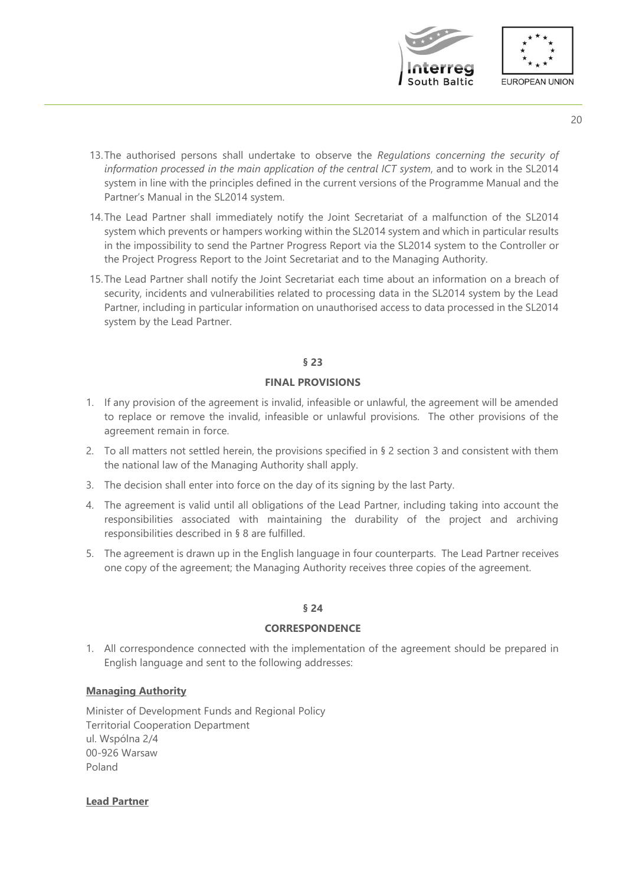

- 20
- 13.The authorised persons shall undertake to observe the *Regulations concerning the security of information processed in the main application of the central ICT system*, and to work in the SL2014 system in line with the principles defined in the current versions of the Programme Manual and the Partner's Manual in the SL2014 system.
- 14.The Lead Partner shall immediately notify the Joint Secretariat of a malfunction of the SL2014 system which prevents or hampers working within the SL2014 system and which in particular results in the impossibility to send the Partner Progress Report via the SL2014 system to the Controller or the Project Progress Report to the Joint Secretariat and to the Managing Authority.
- 15.The Lead Partner shall notify the Joint Secretariat each time about an information on a breach of security, incidents and vulnerabilities related to processing data in the SL2014 system by the Lead Partner, including in particular information on unauthorised access to data processed in the SL2014 system by the Lead Partner.

# **FINAL PROVISIONS**

- 1. If any provision of the agreement is invalid, infeasible or unlawful, the agreement will be amended to replace or remove the invalid, infeasible or unlawful provisions. The other provisions of the agreement remain in force.
- 2. To all matters not settled herein, the provisions specified in § 2 section 3 and consistent with them the national law of the Managing Authority shall apply.
- 3. The decision shall enter into force on the day of its signing by the last Party.
- 4. The agreement is valid until all obligations of the Lead Partner, including taking into account the responsibilities associated with maintaining the durability of the project and archiving responsibilities described in § 8 are fulfilled.
- 5. The agreement is drawn up in the English language in four counterparts. The Lead Partner receives one copy of the agreement; the Managing Authority receives three copies of the agreement.

# **§ 24**

# **CORRESPONDENCE**

1. All correspondence connected with the implementation of the agreement should be prepared in English language and sent to the following addresses:

# **Managing Authority**

Minister of Development Funds and Regional Policy Territorial Cooperation Department ul. Wspólna 2/4 00-926 Warsaw Poland

**Lead Partner**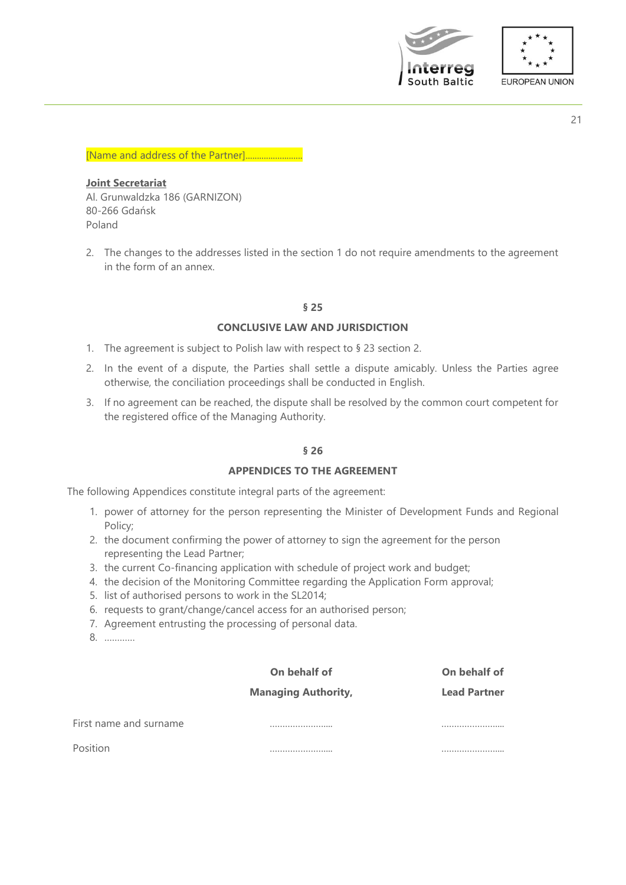



#### [Name and address of the Partner].............

# **Joint Secretariat** Al. Grunwaldzka 186 (GARNIZON) 80-266 Gdańsk Poland

2. The changes to the addresses listed in the section 1 do not require amendments to the agreement in the form of an annex.

#### **§ 25**

#### **CONCLUSIVE LAW AND JURISDICTION**

- 1. The agreement is subject to Polish law with respect to § 23 section 2.
- 2. In the event of a dispute, the Parties shall settle a dispute amicably. Unless the Parties agree otherwise, the conciliation proceedings shall be conducted in English.
- 3. If no agreement can be reached, the dispute shall be resolved by the common court competent for the registered office of the Managing Authority.

# **§ 26**

#### **APPENDICES TO THE AGREEMENT**

The following Appendices constitute integral parts of the agreement:

- 1. power of attorney for the person representing the Minister of Development Funds and Regional Policy;
- 2. the document confirming the power of attorney to sign the agreement for the person representing the Lead Partner;
- 3. the current Co-financing application with schedule of project work and budget;
- 4. the decision of the Monitoring Committee regarding the Application Form approval;
- 5. list of authorised persons to work in the SL2014;
- 6. requests to grant/change/cancel access for an authorised person;
- 7. Agreement entrusting the processing of personal data.
- 8. …………

# **On behalf of Managing Authority,**

**On behalf of Lead Partner**

First name and surname ………………….... …………………....

Position ………………….... …………………....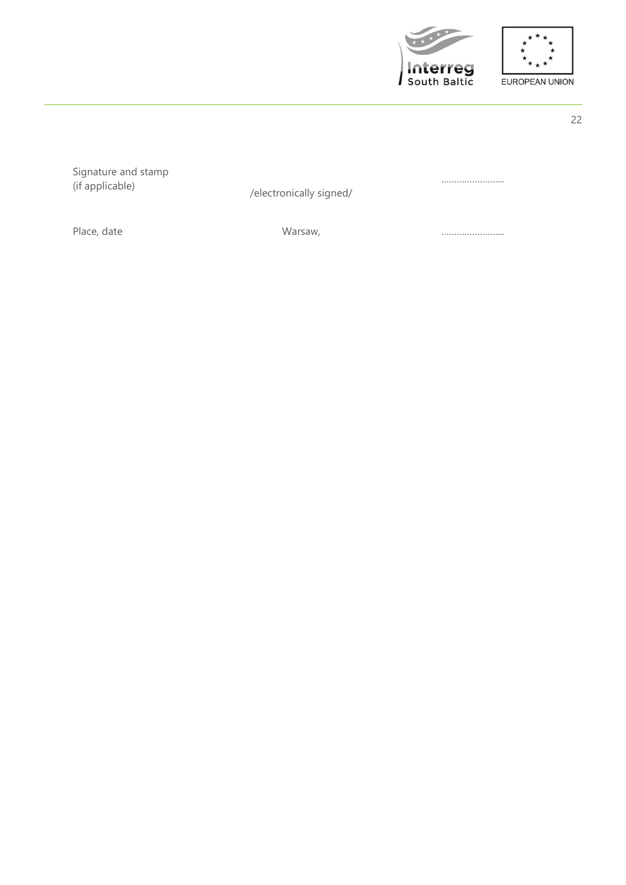

……………………



Signature and stamp<br>(if applicable)

/electronically signed/

Place, date **Example 2018** Warsaw, **Example 2018** Marson, *manufacture and manufacture and manufacture and manufacture and manufacture and manufacture and manufacture and manufacture and manufacture and manufacture and man* 

22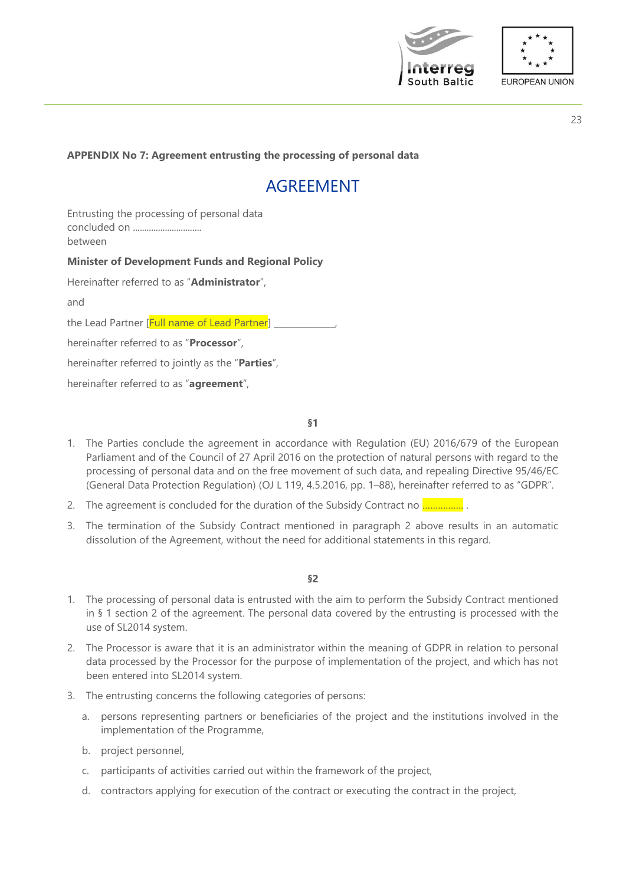



# **APPENDIX No 7: Agreement entrusting the processing of personal data**

# AGREEMENT

Entrusting the processing of personal data concluded on .............................. between

#### **Minister of Development Funds and Regional Policy**

Hereinafter referred to as "**Administrator**",

and

the Lead Partner [Full name of Lead Partner] \_

hereinafter referred to as "**Processor**",

hereinafter referred to jointly as the "**Parties**",

hereinafter referred to as "**agreement**",

**§1**

- 1. The Parties conclude the agreement in accordance with Regulation (EU) 2016/679 of the European Parliament and of the Council of 27 April 2016 on the protection of natural persons with regard to the processing of personal data and on the free movement of such data, and repealing Directive 95/46/EC (General Data Protection Regulation) (OJ L 119, 4.5.2016, pp. 1–88), hereinafter referred to as "GDPR".
- 2. The agreement is concluded for the duration of the Subsidy Contract no .................
- 3. The termination of the Subsidy Contract mentioned in paragraph 2 above results in an automatic dissolution of the Agreement, without the need for additional statements in this regard.

- 1. The processing of personal data is entrusted with the aim to perform the Subsidy Contract mentioned in § 1 section 2 of the agreement. The personal data covered by the entrusting is processed with the use of SL2014 system.
- 2. The Processor is aware that it is an administrator within the meaning of GDPR in relation to personal data processed by the Processor for the purpose of implementation of the project, and which has not been entered into SL2014 system.
- 3. The entrusting concerns the following categories of persons:
	- a. persons representing partners or beneficiaries of the project and the institutions involved in the implementation of the Programme,
	- b. project personnel,
	- c. participants of activities carried out within the framework of the project,
	- d. contractors applying for execution of the contract or executing the contract in the project,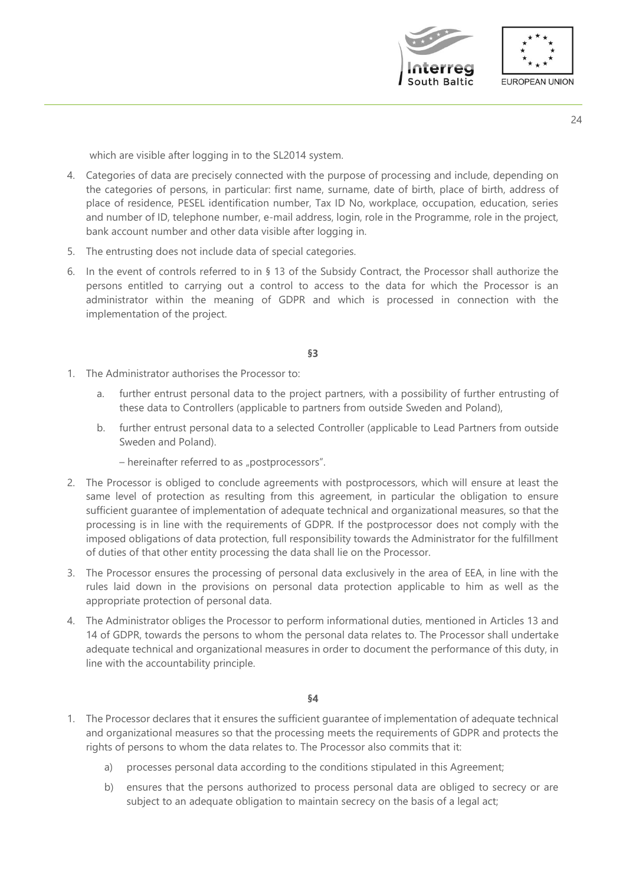



which are visible after logging in to the SL2014 system.

- 4. Categories of data are precisely connected with the purpose of processing and include, depending on the categories of persons, in particular: first name, surname, date of birth, place of birth, address of place of residence, PESEL identification number, Tax ID No, workplace, occupation, education, series and number of ID, telephone number, e-mail address, login, role in the Programme, role in the project, bank account number and other data visible after logging in.
- 5. The entrusting does not include data of special categories.
- 6. In the event of controls referred to in § 13 of the Subsidy Contract, the Processor shall authorize the persons entitled to carrying out a control to access to the data for which the Processor is an administrator within the meaning of GDPR and which is processed in connection with the implementation of the project.

#### **§3**

- 1. The Administrator authorises the Processor to:
	- a. further entrust personal data to the project partners, with a possibility of further entrusting of these data to Controllers (applicable to partners from outside Sweden and Poland),
	- b. further entrust personal data to a selected Controller (applicable to Lead Partners from outside Sweden and Poland).
		- hereinafter referred to as "postprocessors".
- 2. The Processor is obliged to conclude agreements with postprocessors, which will ensure at least the same level of protection as resulting from this agreement, in particular the obligation to ensure sufficient guarantee of implementation of adequate technical and organizational measures, so that the processing is in line with the requirements of GDPR. If the postprocessor does not comply with the imposed obligations of data protection, full responsibility towards the Administrator for the fulfillment of duties of that other entity processing the data shall lie on the Processor.
- 3. The Processor ensures the processing of personal data exclusively in the area of EEA, in line with the rules laid down in the provisions on personal data protection applicable to him as well as the appropriate protection of personal data.
- 4. The Administrator obliges the Processor to perform informational duties, mentioned in Articles 13 and 14 of GDPR, towards the persons to whom the personal data relates to. The Processor shall undertake adequate technical and organizational measures in order to document the performance of this duty, in line with the accountability principle.

- 1. The Processor declares that it ensures the sufficient guarantee of implementation of adequate technical and organizational measures so that the processing meets the requirements of GDPR and protects the rights of persons to whom the data relates to. The Processor also commits that it:
	- a) processes personal data according to the conditions stipulated in this Agreement;
	- b) ensures that the persons authorized to process personal data are obliged to secrecy or are subject to an adequate obligation to maintain secrecy on the basis of a legal act;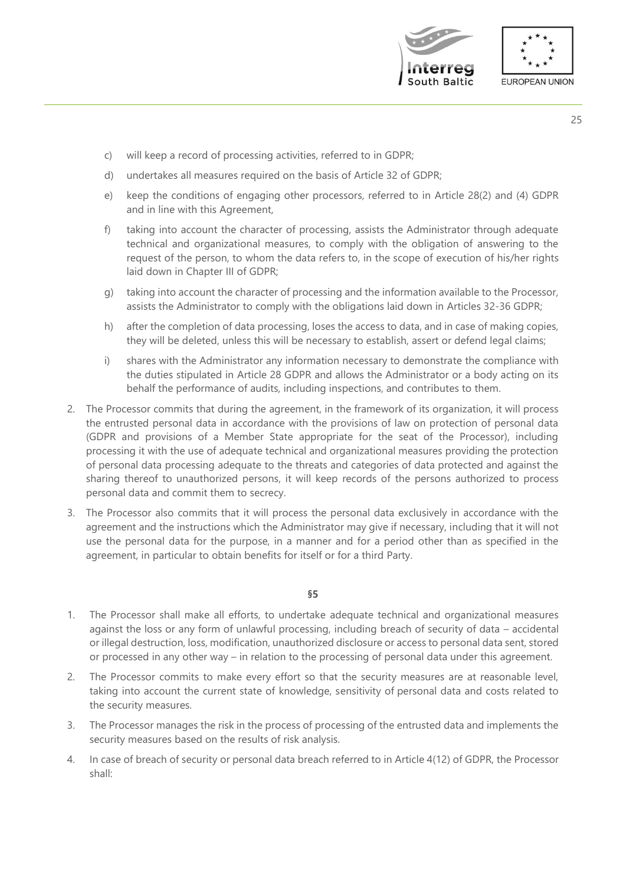



- c) will keep a record of processing activities, referred to in GDPR;
- d) undertakes all measures required on the basis of Article 32 of GDPR;
- e) keep the conditions of engaging other processors, referred to in Article 28(2) and (4) GDPR and in line with this Agreement,
- f) taking into account the character of processing, assists the Administrator through adequate technical and organizational measures, to comply with the obligation of answering to the request of the person, to whom the data refers to, in the scope of execution of his/her rights laid down in Chapter III of GDPR;
- g) taking into account the character of processing and the information available to the Processor, assists the Administrator to comply with the obligations laid down in Articles 32-36 GDPR;
- h) after the completion of data processing, loses the access to data, and in case of making copies, they will be deleted, unless this will be necessary to establish, assert or defend legal claims;
- i) shares with the Administrator any information necessary to demonstrate the compliance with the duties stipulated in Article 28 GDPR and allows the Administrator or a body acting on its behalf the performance of audits, including inspections, and contributes to them.
- 2. The Processor commits that during the agreement, in the framework of its organization, it will process the entrusted personal data in accordance with the provisions of law on protection of personal data (GDPR and provisions of a Member State appropriate for the seat of the Processor), including processing it with the use of adequate technical and organizational measures providing the protection of personal data processing adequate to the threats and categories of data protected and against the sharing thereof to unauthorized persons, it will keep records of the persons authorized to process personal data and commit them to secrecy.
- 3. The Processor also commits that it will process the personal data exclusively in accordance with the agreement and the instructions which the Administrator may give if necessary, including that it will not use the personal data for the purpose, in a manner and for a period other than as specified in the agreement, in particular to obtain benefits for itself or for a third Party.

- 1. The Processor shall make all efforts, to undertake adequate technical and organizational measures against the loss or any form of unlawful processing, including breach of security of data – accidental or illegal destruction, loss, modification, unauthorized disclosure or access to personal data sent, stored or processed in any other way – in relation to the processing of personal data under this agreement.
- 2. The Processor commits to make every effort so that the security measures are at reasonable level, taking into account the current state of knowledge, sensitivity of personal data and costs related to the security measures.
- 3. The Processor manages the risk in the process of processing of the entrusted data and implements the security measures based on the results of risk analysis.
- 4. In case of breach of security or personal data breach referred to in Article 4(12) of GDPR, the Processor shall: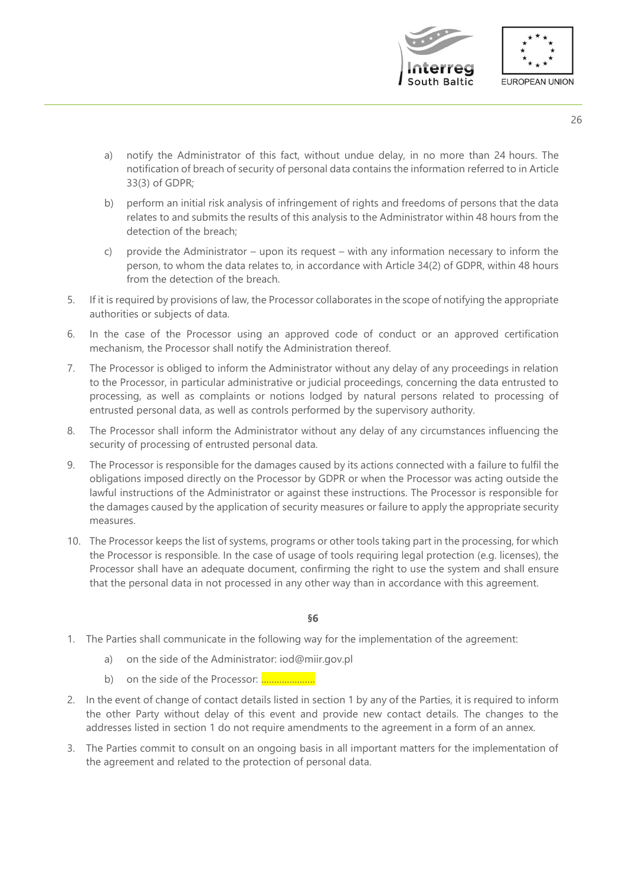

- 26
- a) notify the Administrator of this fact, without undue delay, in no more than 24 hours. The notification of breach of security of personal data contains the information referred to in Article 33(3) of GDPR;
- b) perform an initial risk analysis of infringement of rights and freedoms of persons that the data relates to and submits the results of this analysis to the Administrator within 48 hours from the detection of the breach;
- c) provide the Administrator upon its request with any information necessary to inform the person, to whom the data relates to, in accordance with Article 34(2) of GDPR, within 48 hours from the detection of the breach.
- 5. If it is required by provisions of law, the Processor collaborates in the scope of notifying the appropriate authorities or subjects of data.
- 6. In the case of the Processor using an approved code of conduct or an approved certification mechanism, the Processor shall notify the Administration thereof.
- 7. The Processor is obliged to inform the Administrator without any delay of any proceedings in relation to the Processor, in particular administrative or judicial proceedings, concerning the data entrusted to processing, as well as complaints or notions lodged by natural persons related to processing of entrusted personal data, as well as controls performed by the supervisory authority.
- 8. The Processor shall inform the Administrator without any delay of any circumstances influencing the security of processing of entrusted personal data.
- 9. The Processor is responsible for the damages caused by its actions connected with a failure to fulfil the obligations imposed directly on the Processor by GDPR or when the Processor was acting outside the lawful instructions of the Administrator or against these instructions. The Processor is responsible for the damages caused by the application of security measures or failure to apply the appropriate security measures.
- 10. The Processor keeps the list of systems, programs or other tools taking part in the processing, for which the Processor is responsible. In the case of usage of tools requiring legal protection (e.g. licenses), the Processor shall have an adequate document, confirming the right to use the system and shall ensure that the personal data in not processed in any other way than in accordance with this agreement.

- 1. The Parties shall communicate in the following way for the implementation of the agreement:
	- a) on the side of the Administrator: iod@miir.gov.pl
	- b) on the side of the Processor: …………………
- 2. In the event of change of contact details listed in section 1 by any of the Parties, it is required to inform the other Party without delay of this event and provide new contact details. The changes to the addresses listed in section 1 do not require amendments to the agreement in a form of an annex.
- 3. The Parties commit to consult on an ongoing basis in all important matters for the implementation of the agreement and related to the protection of personal data.